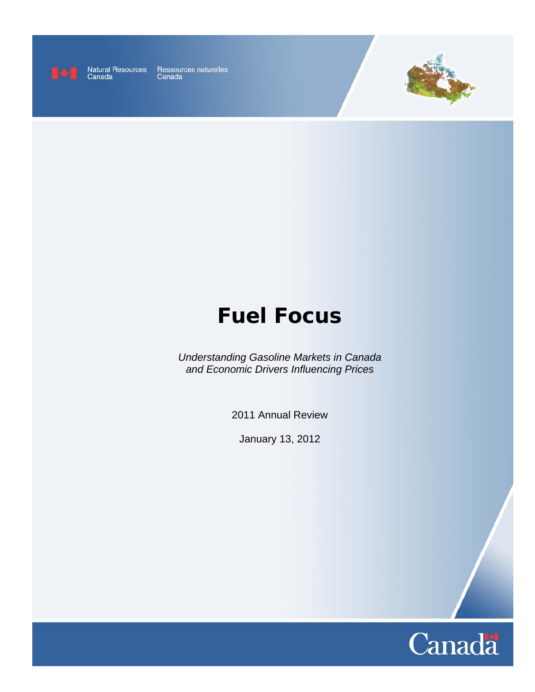

Natural Resources Ressources naturelles<br>Canada Canada



# **Fuel Focus**

*Understanding Gasoline Markets in Canada and Economic Drivers Influencing Prices* 

2011 Annual Review

January 13, 2012

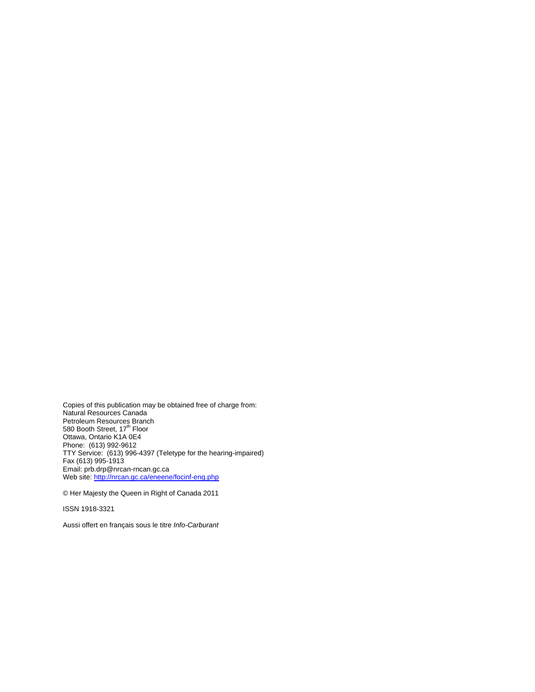Copies of this publication may be obtained free of charge from: Natural Resources Canada Petroleum Resources Branch<br>580 Booth Street, 17<sup>th</sup> Floor Ottawa, Ontario K1A 0E4 Phone: (613) 992-9612 TTY Service: (613) 996-4397 (Teletype for the hearing-impaired) Fax (613) 995-1913 Email: prb.drp@nrcan-rncan.gc.ca Web site: http://nrcan.gc.ca/eneene/focinf-eng.php

© Her Majesty the Queen in Right of Canada 2011

ISSN 1918-3321

Aussi offert en français sous le titre *Info-Carburant*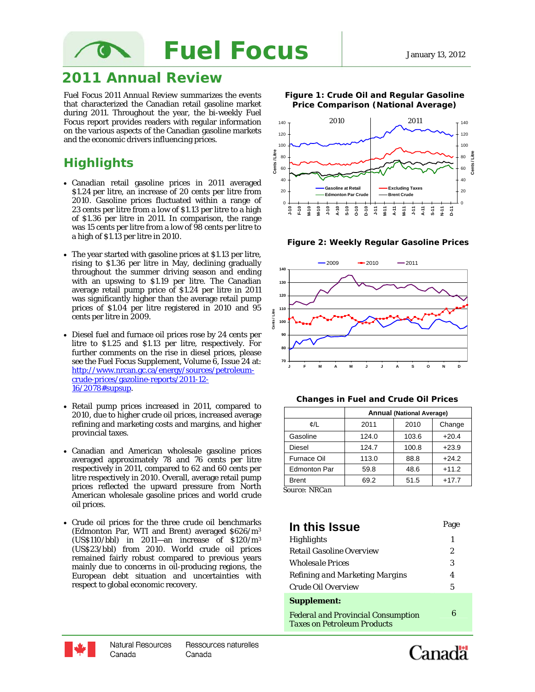

# **2011 Annual Review**

*Fuel Focus 2011 Annual Review* summarizes the events that characterized the Canadian retail gasoline market during 2011. Throughout the year, the bi-weekly *Fuel Focus* report provides readers with regular information on the various aspects of the Canadian gasoline markets and the economic drivers influencing prices.

# **Highlights**

- Canadian retail gasoline prices in 2011 averaged \$1.24 per litre, an increase of 20 cents per litre from 2010. Gasoline prices fluctuated within a range of 23 cents per litre from a low of \$1.13 per litre to a high of \$1.36 per litre in 2011. In comparison, the range was 15 cents per litre from a low of 98 cents per litre to a high of \$1.13 per litre in 2010.
- The year started with gasoline prices at \$1.13 per litre, rising to \$1.36 per litre in May, declining gradually throughout the summer driving season and ending with an upswing to \$1.19 per litre. The Canadian average retail pump price of \$1.24 per litre in 2011 was significantly higher than the average retail pump prices of \$1.04 per litre registered in 2010 and 95 cents per litre in 2009.
- Diesel fuel and furnace oil prices rose by 24 cents per litre to \$1.25 and \$1.13 per litre, respectively. For further comments on the rise in diesel prices, please see the Fuel Focus Supplement, Volume 6, Issue 24 at: http://www.nrcan.gc.ca/energy/sources/petroleumcrude-prices/gazoline-reports/2011-12- 16/2078#supsup.
- Retail pump prices increased in 2011, compared to 2010, due to higher crude oil prices, increased average refining and marketing costs and margins, and higher provincial taxes.
- Canadian and American wholesale gasoline prices averaged approximately 78 and 76 cents per litre respectively in 2011, compared to 62 and 60 cents per litre respectively in 2010. Overall, average retail pump prices reflected the upward pressure from North American wholesale gasoline prices and world crude oil prices.
- Crude oil prices for the three crude oil benchmarks (Edmonton Par, WTI and Brent) averaged \$626/m3 (US\$110/bbl) in 2011—an increase of  $$120/m<sup>3</sup>$ (US\$23/bbl) from 2010. World crude oil prices remained fairly robust compared to previous years mainly due to concerns in oil-producing regions, the European debt situation and uncertainties with respect to global economic recovery.



**Figure 1: Crude Oil and Regular Gasoline Price Comparison (National Average)**

**Figure 2: Weekly Regular Gasoline Prices** 



#### **Changes in Fuel and Crude Oil Prices**

|                     | <b>Annual (National Average)</b> |       |         |  |  |  |
|---------------------|----------------------------------|-------|---------|--|--|--|
| ¢/L                 | 2011                             | 2010  | Change  |  |  |  |
| Gasoline            | 124.0                            | 103.6 | $+20.4$ |  |  |  |
| <b>Diesel</b>       | 124.7                            | 100.8 | $+23.9$ |  |  |  |
| <b>Furnace Oil</b>  | 113.0                            | 88.8  | $+24.2$ |  |  |  |
| <b>Edmonton Par</b> | 59.8                             | 48.6  | $+11.2$ |  |  |  |
| <b>Brent</b>        | 69.2                             | 51.5  | $+17.7$ |  |  |  |

*Source: NRCan*

| In this Issue                                                                   | Page |
|---------------------------------------------------------------------------------|------|
| Highlights                                                                      | 1    |
| Retail Gasoline Overview                                                        | 2    |
| <i><b>Wholesale Prices</b></i>                                                  | 3    |
| Refining and Marketing Margins                                                  | 4    |
| Crude Oil Overview                                                              | 5    |
| <b>Supplement:</b>                                                              |      |
| <b>Federal and Provincial Consumption</b><br><b>Taxes on Petroleum Products</b> | 6    |



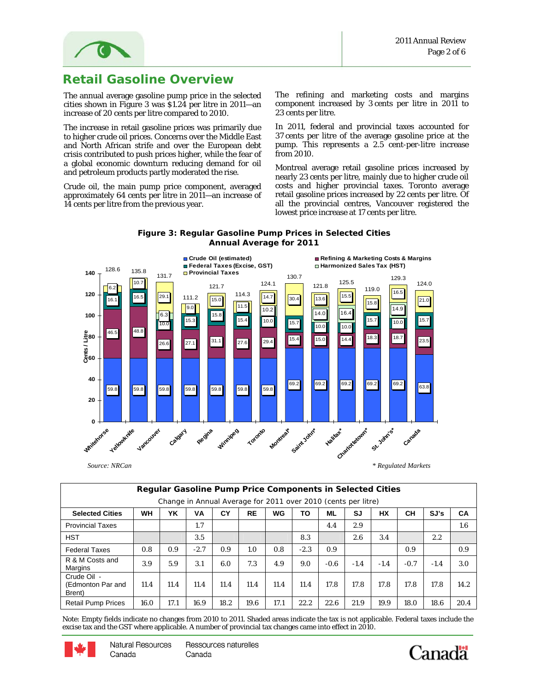

### **Retail Gasoline Overview**

The annual average gasoline pump price in the selected cities shown in Figure 3 was \$1.24 per litre in 2011—an increase of 20 cents per litre compared to 2010.

The increase in retail gasoline prices was primarily due to higher crude oil prices. Concerns over the Middle East and North African strife and over the European debt crisis contributed to push prices higher, while the fear of a global economic downturn reducing demand for oil and petroleum products partly moderated the rise.

Crude oil, the main pump price component, averaged approximately 64 cents per litre in 2011—an increase of 14 cents per litre from the previous year.

The refining and marketing costs and margins component increased by 3 cents per litre in 2011 to 23 cents per litre.

In 2011, federal and provincial taxes accounted for 37 cents per litre of the average gasoline price at the pump. This represents a 2.5 cent-per-litre increase from 2010.

Montreal average retail gasoline prices increased by nearly 23 cents per litre, mainly due to higher crude oil costs and higher provincial taxes. Toronto average retail gasoline prices increased by 22 cents per litre. Of all the provincial centres, Vancouver registered the lowest price increase at 17 cents per litre.

#### **Figure 3: Regular Gasoline Pump Prices in Selected Cities Annual Average for 2011**



**Regular Gasoline Pump Price Components in Selected Cities**  Change in Annual Average for 2011 over 2010 (cents per litre) **Selected Cities WH YK VA CY RE WG TO ML SJ HX CH SJ's CA**  Provincial Taxes 1.7 4.4 2.9 1.6 HST 3.5 8.3 2.6 3.4 2.2 Federal Taxes 0.8 0.9 -2.7 0.9 1.0 0.8 -2.3 0.9 0.9 0.9 R & M Costs and Margins 3.9 5.9 3.1 6.0 7.3 4.9 9.0 -0.6 -1.4 -1.4 -0.7 -1.4 3.0 Crude Oil - (Edmonton Par and Brent) 11.4 | 11.4 | 11.4 | 11.4 | 11.4 | 11.4 | 11.4 | 17.8 | 17.8 | 17.8 | 17.8 | 17.8 | 14.2 Retail Pump Prices | 16.0 | 17.1 | 16.9 | 18.2 | 19.6 | 17.1 | 22.2 | 22.6 | 21.9 | 19.9 | 18.0 | 18.6 | 20.4

Note: Empty fields indicate no changes from 2010 to 2011. Shaded areas indicate the tax is not applicable. Federal taxes include the excise tax and the GST where applicable. A number of provincial tax changes came into effect in 2010.



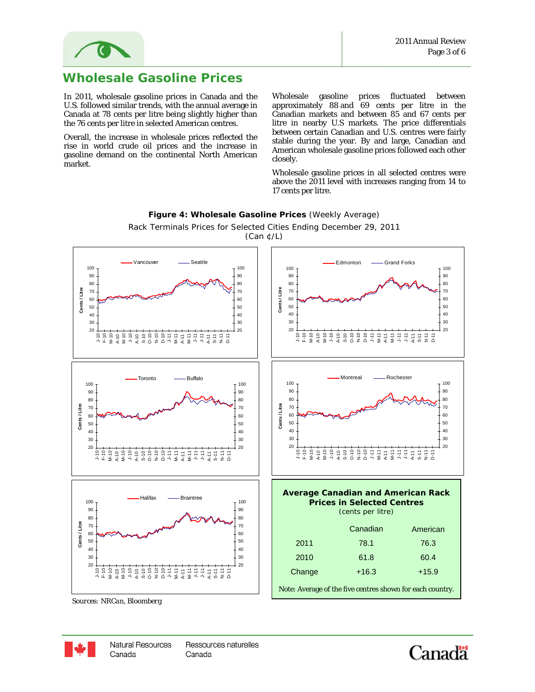



## **Wholesale Gasoline Prices**

In 2011, wholesale gasoline prices in Canada and the U.S. followed similar trends, with the annual average in Canada at 78 cents per litre being slightly higher than the 76 cents per litre in selected American centres.

Overall, the increase in wholesale prices reflected the rise in world crude oil prices and the increase in gasoline demand on the continental North American market.

Wholesale gasoline prices fluctuated between approximately 88 and 69 cents per litre in the Canadian markets and between 85 and 67 cents per litre in nearby U.S markets. The price differentials between certain Canadian and U.S. centres were fairly stable during the year. By and large, Canadian and American wholesale gasoline prices followed each other closely.

Wholesale gasoline prices in all selected centres were above the 2011 level with increases ranging from 14 to 17 cents per litre.



**Figure 4: Wholesale Gasoline Prices** (Weekly Average) Rack Terminals Prices for Selected Cities Ending December 29, 2011

*Sources: NRCan, Bloomberg* 



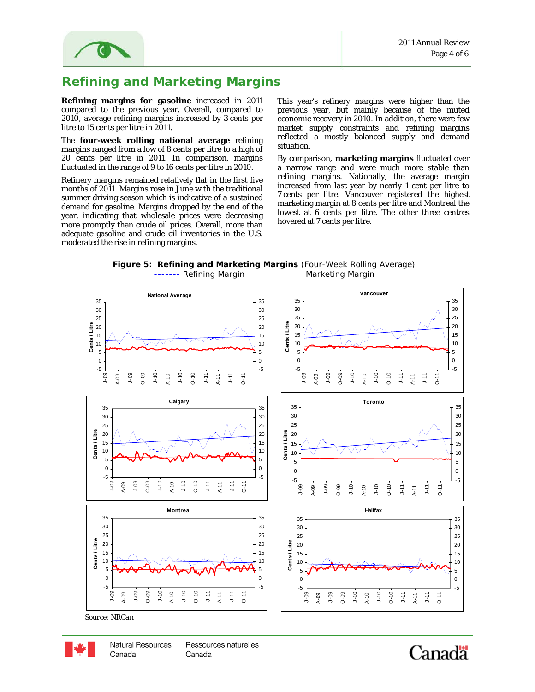

# **Refining and Marketing Margins**

**Refining margins for gasoline** increased in 2011 compared to the previous year. Overall, compared to 2010, average refining margins increased by 3 cents per litre to 15 cents per litre in 2011.

The **four-week rolling national average** refining margins ranged from a low of 8 cents per litre to a high of 20 cents per litre in 2011. In comparison, margins fluctuated in the range of 9 to 16 cents per litre in 2010.

Refinery margins remained relatively flat in the first five months of 2011. Margins rose in June with the traditional summer driving season which is indicative of a sustained demand for gasoline. Margins dropped by the end of the year, indicating that wholesale prices were decreasing more promptly than crude oil prices. Overall, more than adequate gasoline and crude oil inventories in the U.S. moderated the rise in refining margins.

This year's refinery margins were higher than the previous year, but mainly because of the muted economic recovery in 2010. In addition, there were few market supply constraints and refining margins reflected a mostly balanced supply and demand situation.

By comparison, **marketing margins** fluctuated over a narrow range and were much more stable than refining margins. Nationally, the average margin increased from last year by nearly 1 cent per litre to 7 cents per litre. Vancouver registered the highest marketing margin at 8 cents per litre and Montreal the lowest at 6 cents per litre. The other three centres hovered at 7 cents per litre.





*Source: NRCan* 



**Natural Resources** Ressources naturelles Canada Canada

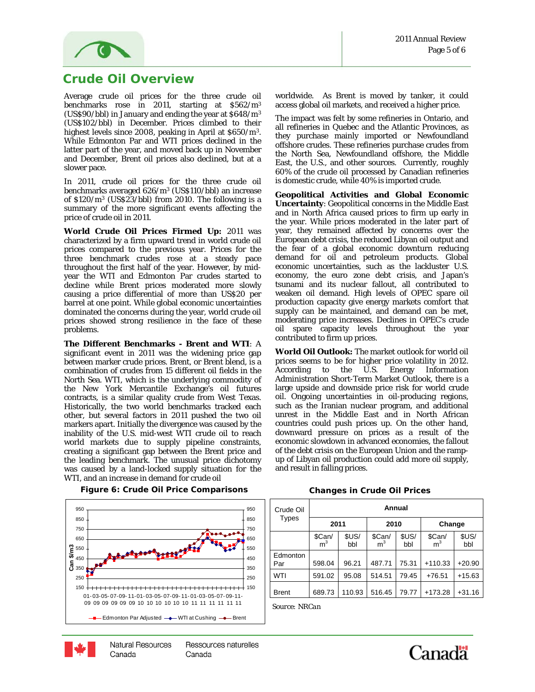

#### **Crude Oil Overview**

Average crude oil prices for the three crude oil benchmarks rose in 2011, starting at \$562/m3 (US\$90/bbl) in January and ending the year at \$648/m3 (US\$102/bbl) in December. Prices climbed to their highest levels since 2008, peaking in April at \$650/m3. While Edmonton Par and WTI prices declined in the latter part of the year, and moved back up in November and December, Brent oil prices also declined, but at a slower pace.

In 2011, crude oil prices for the three crude oil benchmarks averaged 626/m3 (US\$110/bbl) an increase of  $$120/m^3$  (US\$23/bbl) from 2010. The following is a summary of the more significant events affecting the price of crude oil in 2011.

 barrel at one point. While global economic uncertainties **World Crude Oil Prices Firmed Up:** 2011 was characterized by a firm upward trend in world crude oil prices compared to the previous year. Prices for the three benchmark crudes rose at a steady pace throughout the first half of the year. However, by midyear the WTI and Edmonton Par crudes started to decline while Brent prices moderated more slowly causing a price differential of more than US\$20 per dominated the concerns during the year, world crude oil prices showed strong resilience in the face of these problems.

creating a significant gap between the Brent price and<br>the leading benchmark. The unusual price dichotomy **The Different Benchmarks - Brent and WTI**: A significant event in 2011 was the widening price gap between marker crude prices. Brent, or Brent blend, is a combination of crudes from 15 different oil fields in the North Sea. WTI, which is the underlying commodity of the New York Mercantile Exchange's oil futures contracts, is a similar quality crude from West Texas. Historically, the two world benchmarks tracked each other, but several factors in 2011 pushed the two oil markers apart. Initially the divergence was caused by the inability of the U.S. mid-west WTI crude oil to reach world markets due to supply pipeline constraints, creating a significant gap between the Brent price and was caused by a land-locked supply situation for the WTI, and an increase in demand for crude oil



#### **Figure 6: Crude Oil Price Comparisons Changes in Crude Oil Prices**

worldwide. As Brent is moved by tanker, it could access global oil markets, and received a higher price.

The impact was felt by some refineries in Ontario, and all refineries in Quebec and the Atlantic Provinces, as they purchase mainly imported or Newfoundland offshore crudes. These refineries purchase crudes from the North Sea, Newfoundland offshore, the Middle East, the U.S., and other sources. Currently, roughly 60% of the crude oil processed by Canadian refineries is domestic crude, while 40% is imported crude.

**Geopolitical Activities and Global Economic Uncertainty**: Geopolitical concerns in the Middle East and in North Africa caused prices to firm up early in the year. While prices moderated in the later part of year, they remained affected by concerns over the European debt crisis, the reduced Libyan oil output and the fear of a global economic downturn reducing demand for oil and petroleum products. Global economic uncertainties, such as the lackluster U.S. economy, the euro zone debt crisis, and Japan's tsunami and its nuclear fallout, all contributed to weaken oil demand. High levels of OPEC spare oil production capacity give energy markets comfort that supply can be maintained, and demand can be met, moderating price increases. Declines in OPEC's crude oil spare capacity levels throughout the year contributed to firm up prices.

**World Oil Outlook:** The market outlook for world oil prices seems to be for higher price volatility in 2012. According to the U.S. Energy Information Administration Short-Term Market Outlook, there is a large upside and downside price risk for world crude oil. Ongoing uncertainties in oil-producing regions, such as the Iranian nuclear program, and additional unrest in the Middle East and in North African countries could push prices up. On the other hand, downward pressure on prices as a result of the economic slowdown in advanced economies, the fallout of the debt crisis on the European Union and the rampup of Libyan oil production could add more oil supply, and result in falling prices.

| Crude Oil       | Annual                 |              |                          |              |                          |              |  |
|-----------------|------------------------|--------------|--------------------------|--------------|--------------------------|--------------|--|
| Types           | 2011                   |              | 2010                     |              | Change                   |              |  |
|                 | $$Can/$ m <sup>3</sup> | \$US/<br>bbl | \$Can/<br>m <sup>3</sup> | \$US/<br>bbl | \$Can/<br>m <sup>3</sup> | \$US/<br>bbl |  |
| Edmonton<br>Par | 598.04                 | 96.21        | 487.71                   | 75.31        | $+110.33$                | $+20.90$     |  |
| WTI             | 591.02                 | 95.08        | 514.51                   | 79.45        | $+76.51$                 | $+15.63$     |  |
| <b>Brent</b>    | 689.73                 | 110.93       | 516.45                   | 79.77        | $+173.28$                | $+31.16$     |  |

*Source: NRCan*